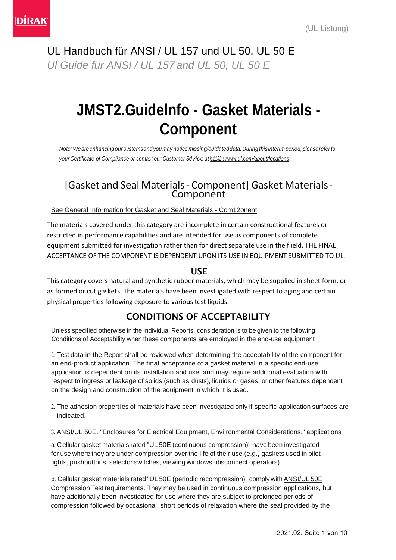UL Handbuch für ANSI / UL 157 und UL 50, UL 50 E *Ul Guide für ANSI / UL 157 and UL 50, UL 50 E*

# **JMST2.Guidelnfo - Gasket Materials - Component**

*Note:Weareenhancingour systemsand you may notice missing/outdateddata. During thisinterim period,pleasereferto your Certificate of Compliance or contac <sup>t</sup> our Customer Se rvice at [i111J2.s://www.u](http://www.ul.com/about/locations)l.com/abo[ut/locations.](http://www.ul.com/about/locations)*

### [Gasket and Seal Materials- Component] Gasket Materials-**Component**

### See General Information for Gasket and Seal Materials - Com12onent

The materials covered under this category are incomplete in certain constructional features or restricted in performance capabilities and are intended for use as components of complete equipment submitted for investigation rather than for direct separate use in the f ield. THE FINAL ACCEPTANCE OF THE COMPONENT IS DEPENDENT UPON ITS USE IN EQUIPMENT SUBMITTED TO UL.

### USE

This category covers natural and synthetic rubber materials, which may be supplied in sheet form, or as formed or cut gaskets. The materials have been invest igated with respect to aging and certain physical properties following exposure to various test liquids.

### CONDITIONS OF ACCEPTABILITY

Unless specified otherwise in the individual Reports, consideration is to be given to the following Conditions of Acceptability when these components are employed in the end-use equipment

1. Test data in the Report shall be reviewed when determining the acceptability of the component for an end-product application. The final acceptance of a gasket material in a specific end-use application is dependent on its installation and use, and may require additional evaluation with respect to ingress or leakage of solids (such as dusts), liquids or gases, or other features dependent on the design and construction of the equipment in which it is used.

- 2. The adhesion properties of materials have been investigated only if specific application surfaces are indicated.
- 3. ANSI/UL 50E. "Enclosures for Electrical Equipment, Envi ronmental Considerations," applications

a. Cellular gasket materials rated "UL 50E (continuous compression)" have been investigated for use where they are under compression over the life of their use (e.g., gaskets used in pilot lights, pushbuttons, selector switches, viewing windows, disconnect operators).

b. Cellular gasket materials rated "UL 50E (periodic recompression)" comply with ANSI/UL 50E Compression Test requirements. They may be used in continuous compression applications, but have additionally been investigated for use where they are subject to prolonged periods of compression followed by occasional, short periods of relaxation where the seal provided by the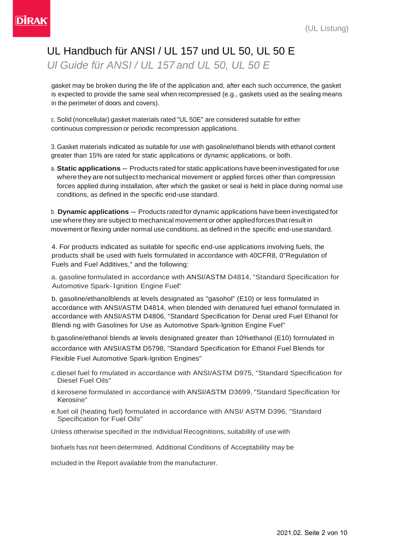## UL Handbuch für ANSI / UL 157 und UL 50, UL 50 E *Ul Guide für ANSI / UL 157 and UL 50, UL 50 E*

gasket may be broken during the life of the application and, after each such occurrence, the gasket is expected to provide the same seal when recompressed (e.g., gaskets used as the sealing means in the perimeter of doors and covers).

c. Solid (noncellular) gasket materials rated "UL 50E" are considered suitable for either continuous compression or periodic recompression applications.

3. Gasket materials indicated as suitable for use with gasoline/ethanol blends with ethanol content greater than 15% are rated for static applications or dynamic applications, or both.

a. **Static applications** - Products rated for static applications have been investigated for use where they are not subject to mechanical movement or applied forces other than compression forces applied during installation, after which the gasket or seal is held in place during normal use conditions, as defined in the specific end-use standard.

b. **Dynamic applications** - Products rated for dynamic applications have been investigated for use where they are subject to mechanical movement or other appliedforces that result in movement or flexing under normal use conditions, as defined in the specific end-usestandard.

4. For products indicated as suitable for specific end-use applications involving fuels, the products shall be used with fuels forrnulated in accordance with 40CFR8, 0"Regulation of Fuels and Fuel Additives," and the following:

a. gasoline formulated in accordance with ANSI/ASTM D4814, "Standard Specification for Automotive Spark- l gnition Engine Fuel"

b. gasoline/ethanolblends at levels designated as "gasohol" (E10) or less formulated in accordance with ANSI/ASTM D4814, when blended with denatured fuel ethanol formulated in accordance with ANSI/ASTM D4806, "Standard Specification for Denat ured Fuel Ethanol for Blendi ng with Gasolines for Use as Automotive Spark-lgnition Engine Fuel"

b.gasoline/ethanol blends at levels designated greater than 10%ethanol (E10) forrnulated in accordance with ANSI/ASTM D5798, "Standard Specification for Ethanol Fuel Blends for Flexible Fuel Automotive Spark-lgnition Engines"

- c.diesel fuel fo rmulated in accordance with ANSI/ASTM D975, "Standard Specification for Diesel Fuel Oils"
- d.kerosene formulated in accordance with ANSI/ASTM D3699, "Standard Specification for Kerosine"
- e.fuel oil (heating fuel) formulated in accordance with ANSI/ ASTM D396, "Standard Specification for Fuel Oils"

Unless otherwise specified in the individual Recognitions, suitability of use with

biofuels has not been determined. Additional Conditions of Acceptability may be

included in the Report available from the manufacturer.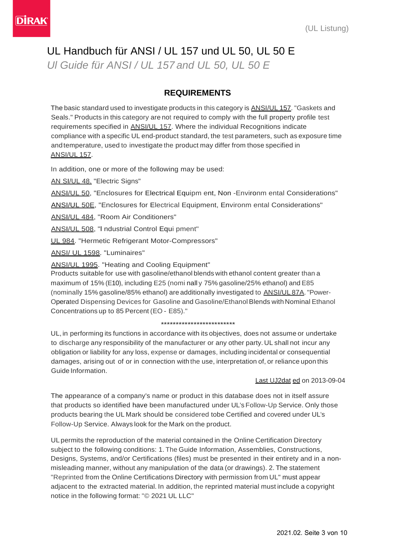## UL Handbuch für ANSI / UL 157 und UL 50, UL 50 E

*Ul Guide für ANSI / UL 157 and UL 50, UL 50 E*

### **REQUIREMENTS**

The basic standard used to investigate products in this category is ANSI/UL 157. "Gaskets and Seals." Products in this category are not required to comply with the full property profile test requirements specified in ANSI/UL 157. Where the individual Recognitions indicate compliance with a specific UL end-product standard, the test parameters, such as exposure time andtemperature, used to investigate the product may differ from those specified in ANSI/UL 157.

In addition, one or more of the following may be used:

AN SI/UL 48. "Electric Signs"

ANSI/UL 50, "Enclosures for Electrical Equipm ent, Non -Environm ental Considerations"

ANSI/UL 50E, "Enclosures for Electrical Equipment, Environm ental Considerations"

ANSI/UL 484, "Room Air Conditioners"

ANSI/UL 508, "l ndustrial Control Equi pment"

UL 984. "Hermetic Refrigerant Motor-Compressors"

ANSI/ UL 1598. "Luminaires"

ANSI/UL 1995. "Heating and Cooling Equipment"

Products suitable for use with gasoline/ethanol blends with ethanol content greater than a maximum of 15% (E10), including E25 (nomi nall y 75% gasoline/25% ethanol) and E85 (nominally 15% gasoline/85% ethanol) are additionally investigated to ANSI/UL 87A."Power-Operated Dispensing Devices for Gasoline and Gasoline/Ethanol Blends with Nominal Ethanol Concentrations up to 85 Percent (EO - E85)."

#### \*\*\*\*\*\*\*\*\*\*\*\*\*\*\*\*\*\*\*\*\*\*\*\*\*

UL, in performing its functions in accordance with its objectives, does not assume or undertake to discharge any responsibility of the manufacturer or any other party. UL shall not incur any obligation or liability for any loss, expense or damages, including incidental or consequential damages, arising out of or in connection with the use, interpretation of, or reliance upon this Guide Information.

#### Last UJ2dat ed on 2013-09-04

The appearance of a company's name or product in this database does not in itself assure that products so identified have been manufactured under UL's Follow-Up Service. Only those products bearing the UL Mark should be considered tobe Certified and covered under UL's Follow-Up Service. Always look for the Mark on the product.

UL permits the reproduction of the material contained in the Online Certification Directory subject to the following conditions: 1. The Guide Information, Assemblies, Constructions, Designs, Systems, and/or Certifications (files) must be presented in their entirety and in a nonmisleading manner, without any manipulation of the data (or drawings). 2. The statement "Reprinted from the Online Certifications Directory with permission from UL" must appear adjacent to the extracted material. In addition, the reprinted material must include a copyright notice in the following format: "© 2021 UL LLC"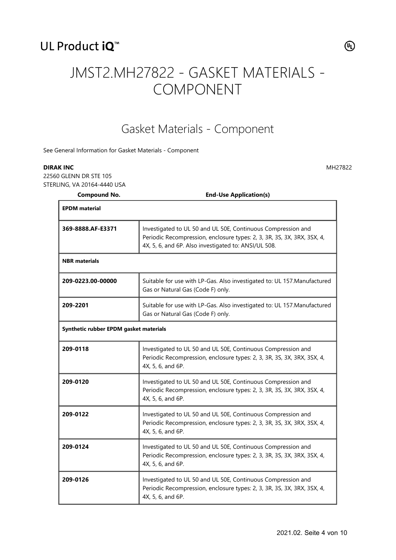## UL Product iQ<sup>™</sup>



## JMST2.MH27822 - GASKET MATERIALS - COMPONENT

## Gasket Materials - Component

See General Information for Gasket Materials - Component

#### **DIRAK INC** MH27822

22560 GLENN DR STE 105 STERLING, VA 20164-4440 USA

**Compound No. End-Use Application(s)**

| <b>EPDM</b> material                   |                                                                                                                                                                                                 |
|----------------------------------------|-------------------------------------------------------------------------------------------------------------------------------------------------------------------------------------------------|
| 369-8888.AF-E3371                      | Investigated to UL 50 and UL 50E, Continuous Compression and<br>Periodic Recompression, enclosure types: 2, 3, 3R, 3S, 3X, 3RX, 3SX, 4,<br>4X, 5, 6, and 6P. Also investigated to: ANSI/UL 508. |
| <b>NBR</b> materials                   |                                                                                                                                                                                                 |
| 209-0223.00-00000                      | Suitable for use with LP-Gas. Also investigated to: UL 157. Manufactured<br>Gas or Natural Gas (Code F) only.                                                                                   |
| 209-2201                               | Suitable for use with LP-Gas. Also investigated to: UL 157. Manufactured<br>Gas or Natural Gas (Code F) only.                                                                                   |
| Synthetic rubber EPDM gasket materials |                                                                                                                                                                                                 |
| 209-0118                               | Investigated to UL 50 and UL 50E, Continuous Compression and<br>Periodic Recompression, enclosure types: 2, 3, 3R, 3S, 3X, 3RX, 3SX, 4,<br>4X, 5, 6, and 6P.                                    |
| 209-0120                               | Investigated to UL 50 and UL 50E, Continuous Compression and<br>Periodic Recompression, enclosure types: 2, 3, 3R, 3S, 3X, 3RX, 3SX, 4,<br>4X, 5, 6, and 6P.                                    |
| 209-0122                               | Investigated to UL 50 and UL 50E, Continuous Compression and<br>Periodic Recompression, enclosure types: 2, 3, 3R, 3S, 3X, 3RX, 3SX, 4,<br>4X, 5, 6, and 6P.                                    |
| 209-0124                               | Investigated to UL 50 and UL 50E, Continuous Compression and<br>Periodic Recompression, enclosure types: 2, 3, 3R, 3S, 3X, 3RX, 3SX, 4,<br>4X, 5, 6, and 6P.                                    |
| 209-0126                               | Investigated to UL 50 and UL 50E, Continuous Compression and<br>Periodic Recompression, enclosure types: 2, 3, 3R, 3S, 3X, 3RX, 3SX, 4,<br>4X, 5, 6, and 6P.                                    |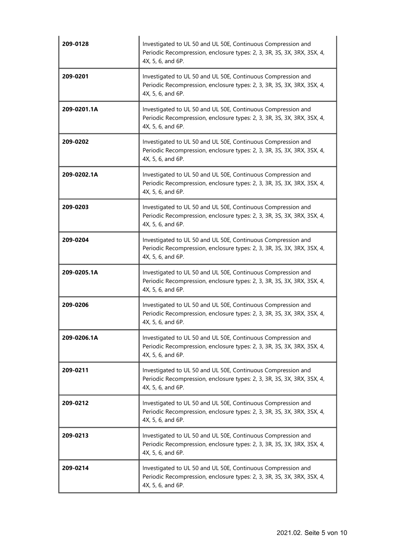| 209-0128    | Investigated to UL 50 and UL 50E, Continuous Compression and<br>Periodic Recompression, enclosure types: 2, 3, 3R, 3S, 3X, 3RX, 3SX, 4,<br>4X, 5, 6, and 6P. |
|-------------|--------------------------------------------------------------------------------------------------------------------------------------------------------------|
| 209-0201    | Investigated to UL 50 and UL 50E, Continuous Compression and<br>Periodic Recompression, enclosure types: 2, 3, 3R, 3S, 3X, 3RX, 3SX, 4,<br>4X, 5, 6, and 6P. |
| 209-0201.1A | Investigated to UL 50 and UL 50E, Continuous Compression and<br>Periodic Recompression, enclosure types: 2, 3, 3R, 3S, 3X, 3RX, 3SX, 4,<br>4X, 5, 6, and 6P. |
| 209-0202    | Investigated to UL 50 and UL 50E, Continuous Compression and<br>Periodic Recompression, enclosure types: 2, 3, 3R, 3S, 3X, 3RX, 3SX, 4,<br>4X, 5, 6, and 6P. |
| 209-0202.1A | Investigated to UL 50 and UL 50E, Continuous Compression and<br>Periodic Recompression, enclosure types: 2, 3, 3R, 3S, 3X, 3RX, 3SX, 4,<br>4X, 5, 6, and 6P. |
| 209-0203    | Investigated to UL 50 and UL 50E, Continuous Compression and<br>Periodic Recompression, enclosure types: 2, 3, 3R, 3S, 3X, 3RX, 3SX, 4,<br>4X, 5, 6, and 6P. |
| 209-0204    | Investigated to UL 50 and UL 50E, Continuous Compression and<br>Periodic Recompression, enclosure types: 2, 3, 3R, 3S, 3X, 3RX, 3SX, 4,<br>4X, 5, 6, and 6P. |
| 209-0205.1A | Investigated to UL 50 and UL 50E, Continuous Compression and<br>Periodic Recompression, enclosure types: 2, 3, 3R, 3S, 3X, 3RX, 3SX, 4,<br>4X, 5, 6, and 6P. |
| 209-0206    | Investigated to UL 50 and UL 50E, Continuous Compression and<br>Periodic Recompression, enclosure types: 2, 3, 3R, 3S, 3X, 3RX, 3SX, 4,<br>4X, 5, 6, and 6P. |
| 209-0206.1A | Investigated to UL 50 and UL 50E, Continuous Compression and<br>Periodic Recompression, enclosure types: 2, 3, 3R, 3S, 3X, 3RX, 3SX, 4,<br>4X, 5, 6, and 6P. |
| 209-0211    | Investigated to UL 50 and UL 50E, Continuous Compression and<br>Periodic Recompression, enclosure types: 2, 3, 3R, 3S, 3X, 3RX, 3SX, 4,<br>4X, 5, 6, and 6P. |
| 209-0212    | Investigated to UL 50 and UL 50E, Continuous Compression and<br>Periodic Recompression, enclosure types: 2, 3, 3R, 3S, 3X, 3RX, 3SX, 4,<br>4X, 5, 6, and 6P. |
| 209-0213    | Investigated to UL 50 and UL 50E, Continuous Compression and<br>Periodic Recompression, enclosure types: 2, 3, 3R, 3S, 3X, 3RX, 3SX, 4,<br>4X, 5, 6, and 6P. |
| 209-0214    | Investigated to UL 50 and UL 50E, Continuous Compression and<br>Periodic Recompression, enclosure types: 2, 3, 3R, 3S, 3X, 3RX, 3SX, 4,<br>4X, 5, 6, and 6P. |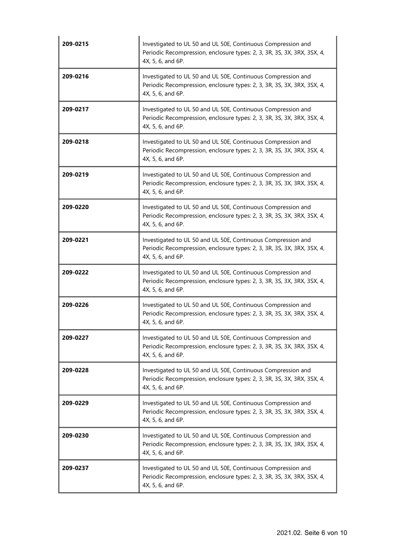| 209-0215 | Investigated to UL 50 and UL 50E, Continuous Compression and<br>Periodic Recompression, enclosure types: 2, 3, 3R, 3S, 3X, 3RX, 3SX, 4,<br>4X, 5, 6, and 6P. |
|----------|--------------------------------------------------------------------------------------------------------------------------------------------------------------|
| 209-0216 | Investigated to UL 50 and UL 50E, Continuous Compression and<br>Periodic Recompression, enclosure types: 2, 3, 3R, 3S, 3X, 3RX, 3SX, 4,<br>4X, 5, 6, and 6P. |
| 209-0217 | Investigated to UL 50 and UL 50E, Continuous Compression and<br>Periodic Recompression, enclosure types: 2, 3, 3R, 3S, 3X, 3RX, 3SX, 4,<br>4X, 5, 6, and 6P. |
| 209-0218 | Investigated to UL 50 and UL 50E, Continuous Compression and<br>Periodic Recompression, enclosure types: 2, 3, 3R, 3S, 3X, 3RX, 3SX, 4,<br>4X, 5, 6, and 6P. |
| 209-0219 | Investigated to UL 50 and UL 50E, Continuous Compression and<br>Periodic Recompression, enclosure types: 2, 3, 3R, 3S, 3X, 3RX, 3SX, 4,<br>4X, 5, 6, and 6P. |
| 209-0220 | Investigated to UL 50 and UL 50E, Continuous Compression and<br>Periodic Recompression, enclosure types: 2, 3, 3R, 3S, 3X, 3RX, 3SX, 4,<br>4X, 5, 6, and 6P. |
| 209-0221 | Investigated to UL 50 and UL 50E, Continuous Compression and<br>Periodic Recompression, enclosure types: 2, 3, 3R, 3S, 3X, 3RX, 3SX, 4,<br>4X, 5, 6, and 6P. |
| 209-0222 | Investigated to UL 50 and UL 50E, Continuous Compression and<br>Periodic Recompression, enclosure types: 2, 3, 3R, 3S, 3X, 3RX, 3SX, 4,<br>4X, 5, 6, and 6P. |
| 209-0226 | Investigated to UL 50 and UL 50E, Continuous Compression and<br>Periodic Recompression, enclosure types: 2, 3, 3R, 3S, 3X, 3RX, 3SX, 4,<br>4X, 5, 6, and 6P. |
| 209-0227 | Investigated to UL 50 and UL 50E, Continuous Compression and<br>Periodic Recompression, enclosure types: 2, 3, 3R, 3S, 3X, 3RX, 3SX, 4,<br>4X, 5, 6, and 6P. |
| 209-0228 | Investigated to UL 50 and UL 50E, Continuous Compression and<br>Periodic Recompression, enclosure types: 2, 3, 3R, 3S, 3X, 3RX, 3SX, 4,<br>4X, 5, 6, and 6P. |
| 209-0229 | Investigated to UL 50 and UL 50E, Continuous Compression and<br>Periodic Recompression, enclosure types: 2, 3, 3R, 3S, 3X, 3RX, 3SX, 4,<br>4X, 5, 6, and 6P. |
| 209-0230 | Investigated to UL 50 and UL 50E, Continuous Compression and<br>Periodic Recompression, enclosure types: 2, 3, 3R, 3S, 3X, 3RX, 3SX, 4,<br>4X, 5, 6, and 6P. |
| 209-0237 | Investigated to UL 50 and UL 50E, Continuous Compression and<br>Periodic Recompression, enclosure types: 2, 3, 3R, 3S, 3X, 3RX, 3SX, 4,<br>4X, 5, 6, and 6P. |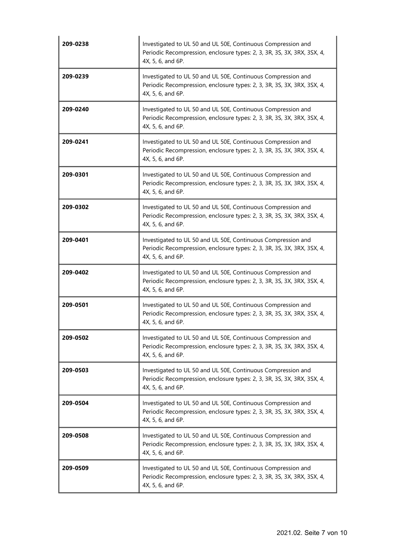| 209-0238 | Investigated to UL 50 and UL 50E, Continuous Compression and<br>Periodic Recompression, enclosure types: 2, 3, 3R, 3S, 3X, 3RX, 3SX, 4,<br>4X, 5, 6, and 6P. |
|----------|--------------------------------------------------------------------------------------------------------------------------------------------------------------|
| 209-0239 | Investigated to UL 50 and UL 50E, Continuous Compression and<br>Periodic Recompression, enclosure types: 2, 3, 3R, 3S, 3X, 3RX, 3SX, 4,<br>4X, 5, 6, and 6P. |
| 209-0240 | Investigated to UL 50 and UL 50E, Continuous Compression and<br>Periodic Recompression, enclosure types: 2, 3, 3R, 3S, 3X, 3RX, 3SX, 4,<br>4X, 5, 6, and 6P. |
| 209-0241 | Investigated to UL 50 and UL 50E, Continuous Compression and<br>Periodic Recompression, enclosure types: 2, 3, 3R, 3S, 3X, 3RX, 3SX, 4,<br>4X, 5, 6, and 6P. |
| 209-0301 | Investigated to UL 50 and UL 50E, Continuous Compression and<br>Periodic Recompression, enclosure types: 2, 3, 3R, 3S, 3X, 3RX, 3SX, 4,<br>4X, 5, 6, and 6P. |
| 209-0302 | Investigated to UL 50 and UL 50E, Continuous Compression and<br>Periodic Recompression, enclosure types: 2, 3, 3R, 3S, 3X, 3RX, 3SX, 4,<br>4X, 5, 6, and 6P. |
| 209-0401 | Investigated to UL 50 and UL 50E, Continuous Compression and<br>Periodic Recompression, enclosure types: 2, 3, 3R, 3S, 3X, 3RX, 3SX, 4,<br>4X, 5, 6, and 6P. |
| 209-0402 | Investigated to UL 50 and UL 50E, Continuous Compression and<br>Periodic Recompression, enclosure types: 2, 3, 3R, 3S, 3X, 3RX, 3SX, 4,<br>4X, 5, 6, and 6P. |
| 209-0501 | Investigated to UL 50 and UL 50E, Continuous Compression and<br>Periodic Recompression, enclosure types: 2, 3, 3R, 3S, 3X, 3RX, 3SX, 4,<br>4X, 5, 6, and 6P. |
| 209-0502 | Investigated to UL 50 and UL 50E, Continuous Compression and<br>Periodic Recompression, enclosure types: 2, 3, 3R, 3S, 3X, 3RX, 3SX, 4,<br>4X, 5, 6, and 6P. |
| 209-0503 | Investigated to UL 50 and UL 50E, Continuous Compression and<br>Periodic Recompression, enclosure types: 2, 3, 3R, 3S, 3X, 3RX, 3SX, 4,<br>4X, 5, 6, and 6P. |
| 209-0504 | Investigated to UL 50 and UL 50E, Continuous Compression and<br>Periodic Recompression, enclosure types: 2, 3, 3R, 3S, 3X, 3RX, 3SX, 4,<br>4X, 5, 6, and 6P. |
| 209-0508 | Investigated to UL 50 and UL 50E, Continuous Compression and<br>Periodic Recompression, enclosure types: 2, 3, 3R, 3S, 3X, 3RX, 3SX, 4,<br>4X, 5, 6, and 6P. |
| 209-0509 | Investigated to UL 50 and UL 50E, Continuous Compression and<br>Periodic Recompression, enclosure types: 2, 3, 3R, 3S, 3X, 3RX, 3SX, 4,<br>4X, 5, 6, and 6P. |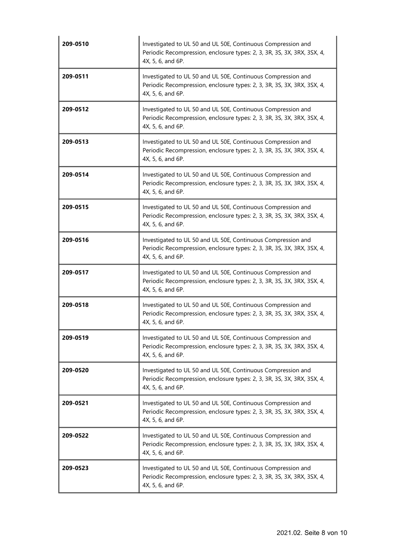| 209-0510 | Investigated to UL 50 and UL 50E, Continuous Compression and<br>Periodic Recompression, enclosure types: 2, 3, 3R, 3S, 3X, 3RX, 3SX, 4,<br>4X, 5, 6, and 6P. |
|----------|--------------------------------------------------------------------------------------------------------------------------------------------------------------|
| 209-0511 | Investigated to UL 50 and UL 50E, Continuous Compression and<br>Periodic Recompression, enclosure types: 2, 3, 3R, 3S, 3X, 3RX, 3SX, 4,<br>4X, 5, 6, and 6P. |
| 209-0512 | Investigated to UL 50 and UL 50E, Continuous Compression and<br>Periodic Recompression, enclosure types: 2, 3, 3R, 3S, 3X, 3RX, 3SX, 4,<br>4X, 5, 6, and 6P. |
| 209-0513 | Investigated to UL 50 and UL 50E, Continuous Compression and<br>Periodic Recompression, enclosure types: 2, 3, 3R, 3S, 3X, 3RX, 3SX, 4,<br>4X, 5, 6, and 6P. |
| 209-0514 | Investigated to UL 50 and UL 50E, Continuous Compression and<br>Periodic Recompression, enclosure types: 2, 3, 3R, 3S, 3X, 3RX, 3SX, 4,<br>4X, 5, 6, and 6P. |
| 209-0515 | Investigated to UL 50 and UL 50E, Continuous Compression and<br>Periodic Recompression, enclosure types: 2, 3, 3R, 3S, 3X, 3RX, 3SX, 4,<br>4X, 5, 6, and 6P. |
| 209-0516 | Investigated to UL 50 and UL 50E, Continuous Compression and<br>Periodic Recompression, enclosure types: 2, 3, 3R, 3S, 3X, 3RX, 3SX, 4,<br>4X, 5, 6, and 6P. |
| 209-0517 | Investigated to UL 50 and UL 50E, Continuous Compression and<br>Periodic Recompression, enclosure types: 2, 3, 3R, 3S, 3X, 3RX, 3SX, 4,<br>4X, 5, 6, and 6P. |
| 209-0518 | Investigated to UL 50 and UL 50E, Continuous Compression and<br>Periodic Recompression, enclosure types: 2, 3, 3R, 3S, 3X, 3RX, 3SX, 4,<br>4X, 5, 6, and 6P. |
| 209-0519 | Investigated to UL 50 and UL 50E, Continuous Compression and<br>Periodic Recompression, enclosure types: 2, 3, 3R, 3S, 3X, 3RX, 3SX, 4,<br>4X, 5, 6, and 6P. |
| 209-0520 | Investigated to UL 50 and UL 50E, Continuous Compression and<br>Periodic Recompression, enclosure types: 2, 3, 3R, 3S, 3X, 3RX, 3SX, 4,<br>4X, 5, 6, and 6P. |
| 209-0521 | Investigated to UL 50 and UL 50E, Continuous Compression and<br>Periodic Recompression, enclosure types: 2, 3, 3R, 3S, 3X, 3RX, 3SX, 4,<br>4X, 5, 6, and 6P. |
| 209-0522 | Investigated to UL 50 and UL 50E, Continuous Compression and<br>Periodic Recompression, enclosure types: 2, 3, 3R, 3S, 3X, 3RX, 3SX, 4,<br>4X, 5, 6, and 6P. |
| 209-0523 | Investigated to UL 50 and UL 50E, Continuous Compression and<br>Periodic Recompression, enclosure types: 2, 3, 3R, 3S, 3X, 3RX, 3SX, 4,<br>4X, 5, 6, and 6P. |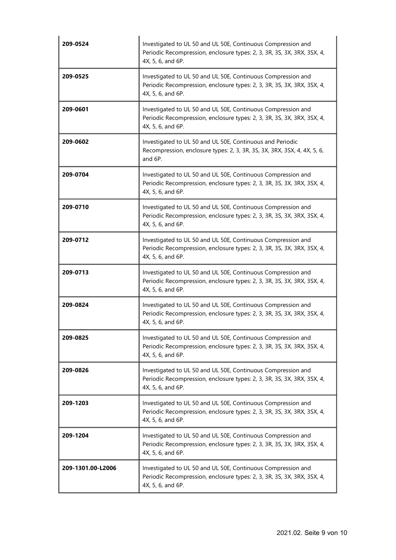| 209-0524          | Investigated to UL 50 and UL 50E, Continuous Compression and<br>Periodic Recompression, enclosure types: 2, 3, 3R, 3S, 3X, 3RX, 3SX, 4,<br>4X, 5, 6, and 6P. |
|-------------------|--------------------------------------------------------------------------------------------------------------------------------------------------------------|
| 209-0525          | Investigated to UL 50 and UL 50E, Continuous Compression and<br>Periodic Recompression, enclosure types: 2, 3, 3R, 3S, 3X, 3RX, 3SX, 4,<br>4X, 5, 6, and 6P. |
| 209-0601          | Investigated to UL 50 and UL 50E, Continuous Compression and<br>Periodic Recompression, enclosure types: 2, 3, 3R, 3S, 3X, 3RX, 3SX, 4,<br>4X, 5, 6, and 6P. |
| 209-0602          | Investigated to UL 50 and UL 50E, Continuous and Periodic<br>Recompression, enclosure types: 2, 3, 3R, 3S, 3X, 3RX, 3SX, 4, 4X, 5, 6,<br>and 6P.             |
| 209-0704          | Investigated to UL 50 and UL 50E, Continuous Compression and<br>Periodic Recompression, enclosure types: 2, 3, 3R, 3S, 3X, 3RX, 3SX, 4,<br>4X, 5, 6, and 6P. |
| 209-0710          | Investigated to UL 50 and UL 50E, Continuous Compression and<br>Periodic Recompression, enclosure types: 2, 3, 3R, 3S, 3X, 3RX, 3SX, 4,<br>4X, 5, 6, and 6P. |
| 209-0712          | Investigated to UL 50 and UL 50E, Continuous Compression and<br>Periodic Recompression, enclosure types: 2, 3, 3R, 3S, 3X, 3RX, 3SX, 4,<br>4X, 5, 6, and 6P. |
| 209-0713          | Investigated to UL 50 and UL 50E, Continuous Compression and<br>Periodic Recompression, enclosure types: 2, 3, 3R, 3S, 3X, 3RX, 3SX, 4,<br>4X, 5, 6, and 6P. |
| 209-0824          | Investigated to UL 50 and UL 50E, Continuous Compression and<br>Periodic Recompression, enclosure types: 2, 3, 3R, 3S, 3X, 3RX, 3SX, 4,<br>4X, 5, 6, and 6P. |
| 209-0825          | Investigated to UL 50 and UL 50E, Continuous Compression and<br>Periodic Recompression, enclosure types: 2, 3, 3R, 3S, 3X, 3RX, 3SX, 4,<br>4X, 5, 6, and 6P. |
| 209-0826          | Investigated to UL 50 and UL 50E, Continuous Compression and<br>Periodic Recompression, enclosure types: 2, 3, 3R, 3S, 3X, 3RX, 3SX, 4,<br>4X, 5, 6, and 6P. |
| 209-1203          | Investigated to UL 50 and UL 50E, Continuous Compression and<br>Periodic Recompression, enclosure types: 2, 3, 3R, 3S, 3X, 3RX, 3SX, 4,<br>4X, 5, 6, and 6P. |
| 209-1204          | Investigated to UL 50 and UL 50E, Continuous Compression and<br>Periodic Recompression, enclosure types: 2, 3, 3R, 3S, 3X, 3RX, 3SX, 4,<br>4X, 5, 6, and 6P. |
| 209-1301.00-L2006 | Investigated to UL 50 and UL 50E, Continuous Compression and<br>Periodic Recompression, enclosure types: 2, 3, 3R, 3S, 3X, 3RX, 3SX, 4,<br>4X, 5, 6, and 6P. |